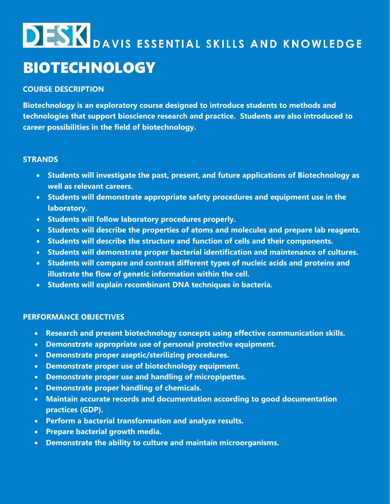## **DESK** DAVIS ESSENTIAL SKILLS AND KNOWLEDGE BIOTECHNOLOGY

### **COURSE DESCRIPTION**

**Biotechnology is an exploratory course designed to introduce students to methods and technologies that support bioscience research and practice. Students are also introduced to career possibilities in the field of biotechnology.**

#### **STRANDS**

- **Students will investigate the past, present, and future applications of Biotechnology as well as relevant careers.**
- **Students will demonstrate appropriate safety procedures and equipment use in the laboratory.**
- **Students will follow laboratory procedures properly.**
- **Students will describe the properties of atoms and molecules and prepare lab reagents.**
- **Students will describe the structure and function of cells and their components.**
- **Students will demonstrate proper bacterial identification and maintenance of cultures.**
- **Students will compare and contrast different types of nucleic acids and proteins and illustrate the flow of genetic information within the cell.**
- **Students will explain recombinant DNA techniques in bacteria.**

#### **PERFORMANCE OBJECTIVES**

- **Research and present biotechnology concepts using effective communication skills.**
- **Demonstrate appropriate use of personal protective equipment.**
- **Demonstrate proper aseptic/sterilizing procedures.**
- **Demonstrate proper use of biotechnology equipment.**
- **Demonstrate proper use and handling of micropipettes.**
- **Demonstrate proper handling of chemicals.**
- **Maintain accurate records and documentation according to good documentation practices (GDP).**
- **Perform a bacterial transformation and analyze results.**
- **Prepare bacterial growth media.**
- **Demonstrate the ability to culture and maintain microorganisms.**